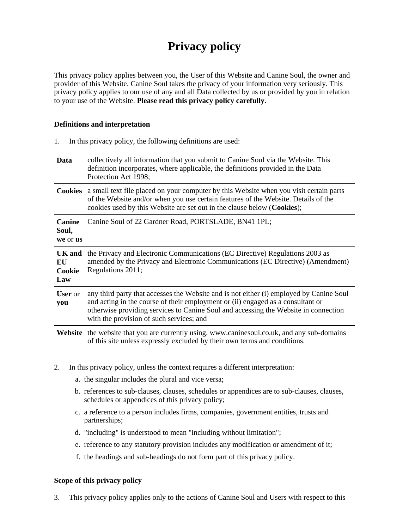# **Privacy policy**

This privacy policy applies between you, the User of this Website and Canine Soul, the owner and provider of this Website. Canine Soul takes the privacy of your information very seriously. This privacy policy applies to our use of any and all Data collected by us or provided by you in relation to your use of the Website. **Please read this privacy policy carefully**.

#### **Definitions and interpretation**

| In this privacy policy, the following definitions are used:<br>1. |                                                                                                                                                                                                                                                                                                               |  |
|-------------------------------------------------------------------|---------------------------------------------------------------------------------------------------------------------------------------------------------------------------------------------------------------------------------------------------------------------------------------------------------------|--|
| Data                                                              | collectively all information that you submit to Canine Soul via the Website. This<br>definition incorporates, where applicable, the definitions provided in the Data<br>Protection Act 1998;                                                                                                                  |  |
|                                                                   | <b>Cookies</b> a small text file placed on your computer by this Website when you visit certain parts<br>of the Website and/or when you use certain features of the Website. Details of the<br>cookies used by this Website are set out in the clause below (Cookies);                                        |  |
| <b>Canine</b><br>Soul,<br>we or us                                | Canine Soul of 22 Gardner Road, PORTSLADE, BN41 1PL;                                                                                                                                                                                                                                                          |  |
| <b>UK</b> and<br>EU<br>Cookie<br>Law                              | the Privacy and Electronic Communications (EC Directive) Regulations 2003 as<br>amended by the Privacy and Electronic Communications (EC Directive) (Amendment)<br>Regulations 2011;                                                                                                                          |  |
| <b>User</b> or<br>you                                             | any third party that accesses the Website and is not either (i) employed by Canine Soul<br>and acting in the course of their employment or (ii) engaged as a consultant or<br>otherwise providing services to Canine Soul and accessing the Website in connection<br>with the provision of such services; and |  |
|                                                                   | <b>Website</b> the website that you are currently using, www.caninesoul.co.uk, and any sub-domains<br>of this site unless expressly excluded by their own terms and conditions.                                                                                                                               |  |

- 2. In this privacy policy, unless the context requires a different interpretation:
	- a. the singular includes the plural and vice versa;
	- b. references to sub-clauses, clauses, schedules or appendices are to sub-clauses, clauses, schedules or appendices of this privacy policy;
	- c. a reference to a person includes firms, companies, government entities, trusts and partnerships;
	- d. "including" is understood to mean "including without limitation";
	- e. reference to any statutory provision includes any modification or amendment of it;
	- f. the headings and sub-headings do not form part of this privacy policy.

# **Scope of this privacy policy**

3. This privacy policy applies only to the actions of Canine Soul and Users with respect to this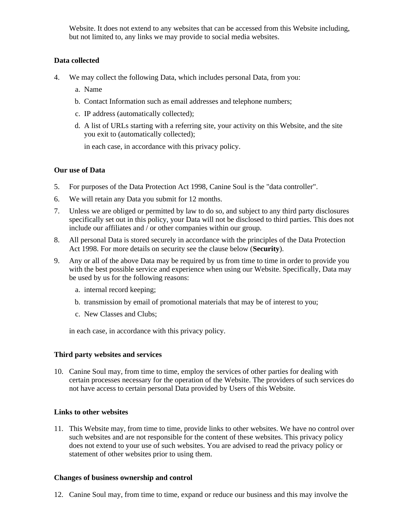Website. It does not extend to any websites that can be accessed from this Website including, but not limited to, any links we may provide to social media websites.

# **Data collected**

- 4. We may collect the following Data, which includes personal Data, from you:
	- a. Name
	- b. Contact Information such as email addresses and telephone numbers;
	- c. IP address (automatically collected);
	- d. A list of URLs starting with a referring site, your activity on this Website, and the site you exit to (automatically collected);

in each case, in accordance with this privacy policy.

#### **Our use of Data**

- 5. For purposes of the Data Protection Act 1998, Canine Soul is the "data controller".
- 6. We will retain any Data you submit for 12 months.
- 7. Unless we are obliged or permitted by law to do so, and subject to any third party disclosures specifically set out in this policy, your Data will not be disclosed to third parties. This does not include our affiliates and / or other companies within our group.
- 8. All personal Data is stored securely in accordance with the principles of the Data Protection Act 1998. For more details on security see the clause below (**Security**).
- 9. Any or all of the above Data may be required by us from time to time in order to provide you with the best possible service and experience when using our Website. Specifically, Data may be used by us for the following reasons:
	- a. internal record keeping;
	- b. transmission by email of promotional materials that may be of interest to you;
	- c. New Classes and Clubs;

in each case, in accordance with this privacy policy.

#### **Third party websites and services**

10. Canine Soul may, from time to time, employ the services of other parties for dealing with certain processes necessary for the operation of the Website. The providers of such services do not have access to certain personal Data provided by Users of this Website.

#### **Links to other websites**

11. This Website may, from time to time, provide links to other websites. We have no control over such websites and are not responsible for the content of these websites. This privacy policy does not extend to your use of such websites. You are advised to read the privacy policy or statement of other websites prior to using them.

#### **Changes of business ownership and control**

12. Canine Soul may, from time to time, expand or reduce our business and this may involve the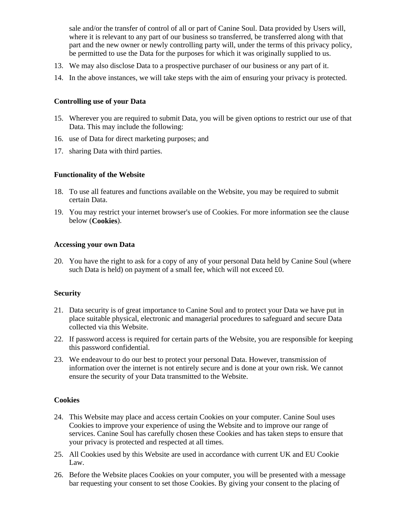sale and/or the transfer of control of all or part of Canine Soul. Data provided by Users will, where it is relevant to any part of our business so transferred, be transferred along with that part and the new owner or newly controlling party will, under the terms of this privacy policy, be permitted to use the Data for the purposes for which it was originally supplied to us.

- 13. We may also disclose Data to a prospective purchaser of our business or any part of it.
- 14. In the above instances, we will take steps with the aim of ensuring your privacy is protected.

#### **Controlling use of your Data**

- 15. Wherever you are required to submit Data, you will be given options to restrict our use of that Data. This may include the following:
- 16. use of Data for direct marketing purposes; and
- 17. sharing Data with third parties.

# **Functionality of the Website**

- 18. To use all features and functions available on the Website, you may be required to submit certain Data.
- 19. You may restrict your internet browser's use of Cookies. For more information see the clause below (**Cookies**).

# **Accessing your own Data**

20. You have the right to ask for a copy of any of your personal Data held by Canine Soul (where such Data is held) on payment of a small fee, which will not exceed £0.

# **Security**

- 21. Data security is of great importance to Canine Soul and to protect your Data we have put in place suitable physical, electronic and managerial procedures to safeguard and secure Data collected via this Website.
- 22. If password access is required for certain parts of the Website, you are responsible for keeping this password confidential.
- 23. We endeavour to do our best to protect your personal Data. However, transmission of information over the internet is not entirely secure and is done at your own risk. We cannot ensure the security of your Data transmitted to the Website.

#### **Cookies**

- 24. This Website may place and access certain Cookies on your computer. Canine Soul uses Cookies to improve your experience of using the Website and to improve our range of services. Canine Soul has carefully chosen these Cookies and has taken steps to ensure that your privacy is protected and respected at all times.
- 25. All Cookies used by this Website are used in accordance with current UK and EU Cookie Law.
- 26. Before the Website places Cookies on your computer, you will be presented with a message bar requesting your consent to set those Cookies. By giving your consent to the placing of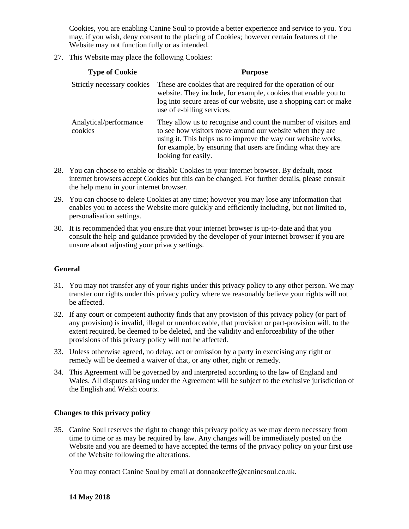Cookies, you are enabling Canine Soul to provide a better experience and service to you. You may, if you wish, deny consent to the placing of Cookies; however certain features of the Website may not function fully or as intended.

27. This Website may place the following Cookies:

| <b>Type of Cookie</b>             | <b>Purpose</b>                                                                                                                                                                                                                                                                        |
|-----------------------------------|---------------------------------------------------------------------------------------------------------------------------------------------------------------------------------------------------------------------------------------------------------------------------------------|
| Strictly necessary cookies        | These are cookies that are required for the operation of our<br>website. They include, for example, cookies that enable you to<br>log into secure areas of our website, use a shopping cart or make<br>use of e-billing services.                                                     |
| Analytical/performance<br>cookies | They allow us to recognise and count the number of visitors and<br>to see how visitors move around our website when they are<br>using it. This helps us to improve the way our website works,<br>for example, by ensuring that users are finding what they are<br>looking for easily. |

- 28. You can choose to enable or disable Cookies in your internet browser. By default, most internet browsers accept Cookies but this can be changed. For further details, please consult the help menu in your internet browser.
- 29. You can choose to delete Cookies at any time; however you may lose any information that enables you to access the Website more quickly and efficiently including, but not limited to, personalisation settings.
- 30. It is recommended that you ensure that your internet browser is up-to-date and that you consult the help and guidance provided by the developer of your internet browser if you are unsure about adjusting your privacy settings.

#### **General**

- 31. You may not transfer any of your rights under this privacy policy to any other person. We may transfer our rights under this privacy policy where we reasonably believe your rights will not be affected.
- 32. If any court or competent authority finds that any provision of this privacy policy (or part of any provision) is invalid, illegal or unenforceable, that provision or part-provision will, to the extent required, be deemed to be deleted, and the validity and enforceability of the other provisions of this privacy policy will not be affected.
- 33. Unless otherwise agreed, no delay, act or omission by a party in exercising any right or remedy will be deemed a waiver of that, or any other, right or remedy.
- 34. This Agreement will be governed by and interpreted according to the law of England and Wales. All disputes arising under the Agreement will be subject to the exclusive jurisdiction of the English and Welsh courts.

#### **Changes to this privacy policy**

35. Canine Soul reserves the right to change this privacy policy as we may deem necessary from time to time or as may be required by law. Any changes will be immediately posted on the Website and you are deemed to have accepted the terms of the privacy policy on your first use of the Website following the alterations.

You may contact Canine Soul by email at donnaokeeffe@caninesoul.co.uk.